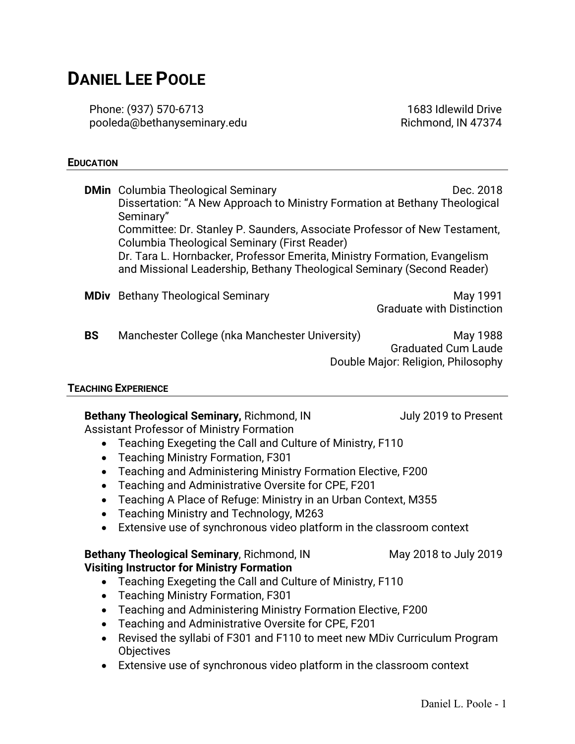# **DANIEL LEE POOLE**

Phone: (937) 570-6713 pooleda@bethanyseminary.edu

1683 Idlewild Drive Richmond, IN 47374

#### **EDUCATION**

|           | <b>DMin</b> Columbia Theological Seminary                                                                                                           | Dec. 2018                          |
|-----------|-----------------------------------------------------------------------------------------------------------------------------------------------------|------------------------------------|
|           | Dissertation: "A New Approach to Ministry Formation at Bethany Theological                                                                          |                                    |
|           | Seminary"                                                                                                                                           |                                    |
|           | Committee: Dr. Stanley P. Saunders, Associate Professor of New Testament,                                                                           |                                    |
|           | Columbia Theological Seminary (First Reader)                                                                                                        |                                    |
|           | Dr. Tara L. Hornbacker, Professor Emerita, Ministry Formation, Evangelism<br>and Missional Leadership, Bethany Theological Seminary (Second Reader) |                                    |
|           | <b>MDiv</b> Bethany Theological Seminary                                                                                                            | May 1991                           |
|           |                                                                                                                                                     | <b>Graduate with Distinction</b>   |
| <b>BS</b> | Manchester College (nka Manchester University)                                                                                                      | May 1988                           |
|           |                                                                                                                                                     | <b>Graduated Cum Laude</b>         |
|           |                                                                                                                                                     | Double Major: Religion, Philosophy |
|           |                                                                                                                                                     |                                    |

#### **TEACHING EXPERIENCE**

**Bethany Theological Seminary, Richmond, IN July 2019 to Present** Assistant Professor of Ministry Formation

- Teaching Exegeting the Call and Culture of Ministry, F110
- Teaching Ministry Formation, F301
- Teaching and Administering Ministry Formation Elective, F200
- Teaching and Administrative Oversite for CPE, F201
- Teaching A Place of Refuge: Ministry in an Urban Context, M355
- Teaching Ministry and Technology, M263
- Extensive use of synchronous video platform in the classroom context

#### **Bethany Theological Seminary**, Richmond, IN May 2018 to July 2019 **Visiting Instructor for Ministry Formation**

- Teaching Exegeting the Call and Culture of Ministry, F110
- Teaching Ministry Formation, F301
- Teaching and Administering Ministry Formation Elective, F200
- Teaching and Administrative Oversite for CPE, F201
- Revised the syllabi of F301 and F110 to meet new MDiv Curriculum Program **Objectives**
- Extensive use of synchronous video platform in the classroom context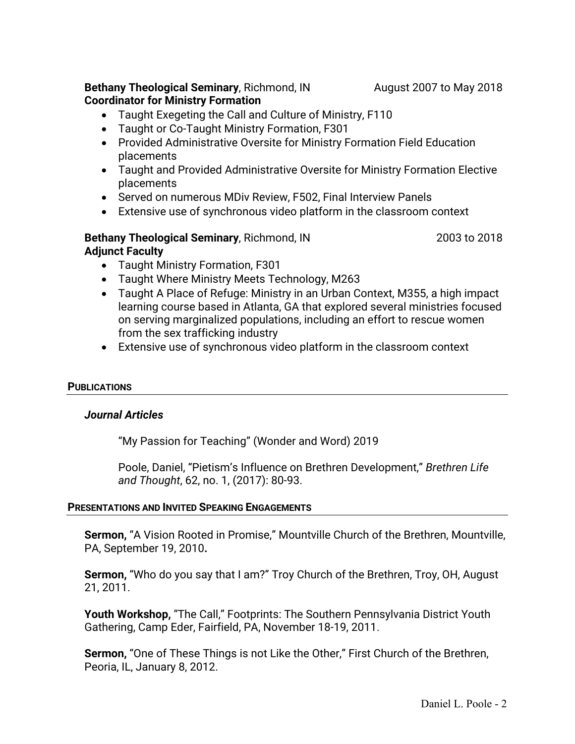## **Bethany Theological Seminary**, Richmond, IN August 2007 to May 2018 **Coordinator for Ministry Formation**

- Taught Exegeting the Call and Culture of Ministry, F110
- Taught or Co-Taught Ministry Formation, F301
- Provided Administrative Oversite for Ministry Formation Field Education placements
- Taught and Provided Administrative Oversite for Ministry Formation Elective placements
- Served on numerous MDiv Review, F502, Final Interview Panels
- Extensive use of synchronous video platform in the classroom context

## **Bethany Theological Seminary**, Richmond, IN 2003 to 2018 **Adjunct Faculty**

- Taught Ministry Formation, F301
- Taught Where Ministry Meets Technology, M263
- Taught A Place of Refuge: Ministry in an Urban Context, M355, a high impact learning course based in Atlanta, GA that explored several ministries focused on serving marginalized populations, including an effort to rescue women from the sex trafficking industry
- Extensive use of synchronous video platform in the classroom context

## **PUBLICATIONS**

## *Journal Articles*

"My Passion for Teaching" (Wonder and Word) 2019

Poole, Daniel, "Pietism's Influence on Brethren Development," *Brethren Life and Thought*, 62, no. 1, (2017): 80-93.

## **PRESENTATIONS AND INVITED SPEAKING ENGAGEMENTS**

**Sermon,** "A Vision Rooted in Promise," Mountville Church of the Brethren, Mountville, PA, September 19, 2010**.**

**Sermon,** "Who do you say that I am?" Troy Church of the Brethren, Troy, OH, August 21, 2011.

**Youth Workshop,** "The Call," Footprints: The Southern Pennsylvania District Youth Gathering, Camp Eder, Fairfield, PA, November 18-19, 2011.

**Sermon,** "One of These Things is not Like the Other," First Church of the Brethren, Peoria, IL, January 8, 2012.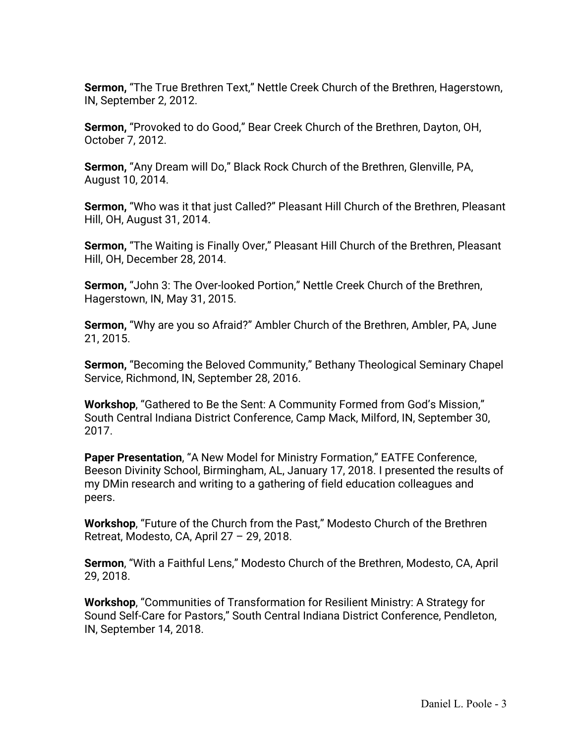**Sermon,** "The True Brethren Text," Nettle Creek Church of the Brethren, Hagerstown, IN, September 2, 2012.

**Sermon,** "Provoked to do Good," Bear Creek Church of the Brethren, Dayton, OH, October 7, 2012.

**Sermon,** "Any Dream will Do," Black Rock Church of the Brethren, Glenville, PA, August 10, 2014.

**Sermon,** "Who was it that just Called?" Pleasant Hill Church of the Brethren, Pleasant Hill, OH, August 31, 2014.

**Sermon,** "The Waiting is Finally Over," Pleasant Hill Church of the Brethren, Pleasant Hill, OH, December 28, 2014.

**Sermon,** "John 3: The Over-looked Portion," Nettle Creek Church of the Brethren, Hagerstown, IN, May 31, 2015.

**Sermon,** "Why are you so Afraid?" Ambler Church of the Brethren, Ambler, PA, June 21, 2015.

**Sermon,** "Becoming the Beloved Community," Bethany Theological Seminary Chapel Service, Richmond, IN, September 28, 2016.

**Workshop**, "Gathered to Be the Sent: A Community Formed from God's Mission," South Central Indiana District Conference, Camp Mack, Milford, IN, September 30, 2017.

**Paper Presentation**, "A New Model for Ministry Formation," EATFE Conference, Beeson Divinity School, Birmingham, AL, January 17, 2018. I presented the results of my DMin research and writing to a gathering of field education colleagues and peers.

**Workshop**, "Future of the Church from the Past," Modesto Church of the Brethren Retreat, Modesto, CA, April 27 – 29, 2018.

**Sermon**, "With a Faithful Lens," Modesto Church of the Brethren, Modesto, CA, April 29, 2018.

**Workshop**, "Communities of Transformation for Resilient Ministry: A Strategy for Sound Self-Care for Pastors," South Central Indiana District Conference, Pendleton, IN, September 14, 2018.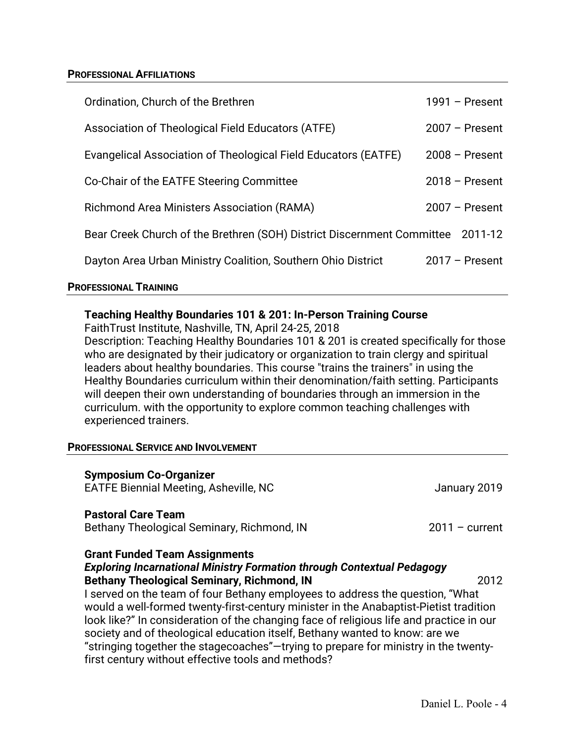#### **PROFESSIONAL AFFILIATIONS**

| Ordination, Church of the Brethren                                             | $1991 -$ Present |
|--------------------------------------------------------------------------------|------------------|
| Association of Theological Field Educators (ATFE)                              | $2007 -$ Present |
| Evangelical Association of Theological Field Educators (EATFE)                 | $2008 -$ Present |
| Co-Chair of the EATFE Steering Committee                                       | $2018 -$ Present |
| <b>Richmond Area Ministers Association (RAMA)</b>                              | $2007 -$ Present |
| Bear Creek Church of the Brethren (SOH) District Discernment Committee 2011-12 |                  |
| Dayton Area Urban Ministry Coalition, Southern Ohio District                   | $2017 -$ Present |

#### **PROFESSIONAL TRAINING**

## **Teaching Healthy Boundaries 101 & 201: In-Person Training Course**

FaithTrust Institute, Nashville, TN, April 24-25, 2018

Description: Teaching Healthy Boundaries 101 & 201 is created specifically for those who are designated by their judicatory or organization to train clergy and spiritual leaders about healthy boundaries. This course "trains the trainers" in using the Healthy Boundaries curriculum within their denomination/faith setting. Participants will deepen their own understanding of boundaries through an immersion in the curriculum. with the opportunity to explore common teaching challenges with experienced trainers.

#### **PROFESSIONAL SERVICE AND INVOLVEMENT**

| <b>Symposium Co-Organizer</b><br><b>EATFE Biennial Meeting, Asheville, NC</b>                                                                                                                                                                                                                                                                                                                                                                           | January 2019     |  |
|---------------------------------------------------------------------------------------------------------------------------------------------------------------------------------------------------------------------------------------------------------------------------------------------------------------------------------------------------------------------------------------------------------------------------------------------------------|------------------|--|
| <b>Pastoral Care Team</b><br>Bethany Theological Seminary, Richmond, IN                                                                                                                                                                                                                                                                                                                                                                                 | $2011 - current$ |  |
| <b>Grant Funded Team Assignments</b><br><b>Exploring Incarnational Ministry Formation through Contextual Pedagogy</b><br><b>Bethany Theological Seminary, Richmond, IN</b><br>2012<br>I served on the team of four Bethany employees to address the question, "What<br>would a well-formed twenty-first-century minister in the Anabaptist-Pietist tradition<br>look like?" In consideration of the changing face of religious life and practice in our |                  |  |
| society and of theological education itself, Bethany wanted to know: are we<br>"stringing together the stagecoaches"—trying to prepare for ministry in the twenty-<br>first century without effective tools and methods?                                                                                                                                                                                                                                |                  |  |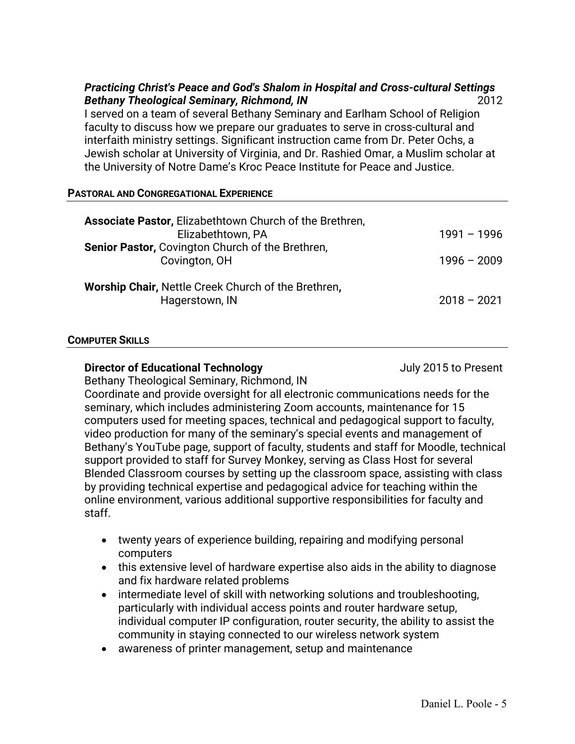## *Practicing Christ's Peace and God's Shalom in Hospital and Cross-cultural Settings* **Bethany Theological Seminary, Richmond, IN** 2012

I served on a team of several Bethany Seminary and Earlham School of Religion faculty to discuss how we prepare our graduates to serve in cross-cultural and interfaith ministry settings. Significant instruction came from Dr. Peter Ochs, a Jewish scholar at University of Virginia, and Dr. Rashied Omar, a Muslim scholar at the University of Notre Dame's Kroc Peace Institute for Peace and Justice.

#### **PASTORAL AND CONGREGATIONAL EXPERIENCE**

| <b>Associate Pastor, Elizabethtown Church of the Brethren,</b>               |               |
|------------------------------------------------------------------------------|---------------|
| Elizabethtown, PA                                                            | $1991 - 1996$ |
| Senior Pastor, Covington Church of the Brethren,<br>Covington, OH            | $1996 - 2009$ |
| <b>Worship Chair, Nettle Creek Church of the Brethren,</b><br>Hagerstown, IN | $2018 - 2021$ |

#### **COMPUTER SKILLS**

## **Director of Educational Technology July 2015 to Present**

Bethany Theological Seminary, Richmond, IN

Coordinate and provide oversight for all electronic communications needs for the seminary, which includes administering Zoom accounts, maintenance for 15 computers used for meeting spaces, technical and pedagogical support to faculty, video production for many of the seminary's special events and management of Bethany's YouTube page, support of faculty, students and staff for Moodle, technical support provided to staff for Survey Monkey, serving as Class Host for several Blended Classroom courses by setting up the classroom space, assisting with class by providing technical expertise and pedagogical advice for teaching within the online environment, various additional supportive responsibilities for faculty and staff.

- twenty years of experience building, repairing and modifying personal computers
- this extensive level of hardware expertise also aids in the ability to diagnose and fix hardware related problems
- intermediate level of skill with networking solutions and troubleshooting, particularly with individual access points and router hardware setup, individual computer IP configuration, router security, the ability to assist the community in staying connected to our wireless network system
- awareness of printer management, setup and maintenance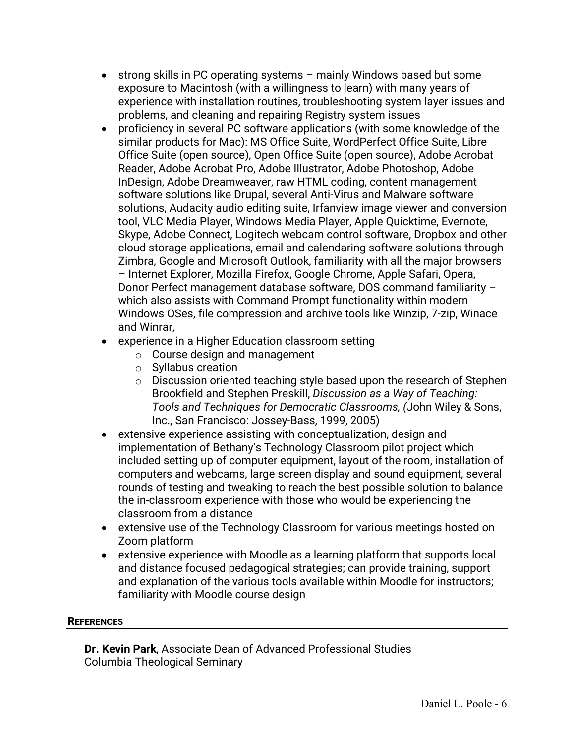- strong skills in PC operating systems mainly Windows based but some exposure to Macintosh (with a willingness to learn) with many years of experience with installation routines, troubleshooting system layer issues and problems, and cleaning and repairing Registry system issues
- proficiency in several PC software applications (with some knowledge of the similar products for Mac): MS Office Suite, WordPerfect Office Suite, Libre Office Suite (open source), Open Office Suite (open source), Adobe Acrobat Reader, Adobe Acrobat Pro, Adobe Illustrator, Adobe Photoshop, Adobe InDesign, Adobe Dreamweaver, raw HTML coding, content management software solutions like Drupal, several Anti-Virus and Malware software solutions, Audacity audio editing suite, Irfanview image viewer and conversion tool, VLC Media Player, Windows Media Player, Apple Quicktime, Evernote, Skype, Adobe Connect, Logitech webcam control software, Dropbox and other cloud storage applications, email and calendaring software solutions through Zimbra, Google and Microsoft Outlook, familiarity with all the major browsers – Internet Explorer, Mozilla Firefox, Google Chrome, Apple Safari, Opera, Donor Perfect management database software, DOS command familiarity – which also assists with Command Prompt functionality within modern Windows OSes, file compression and archive tools like Winzip, 7-zip, Winace and Winrar,
- experience in a Higher Education classroom setting
	- o Course design and management
	- o Syllabus creation
	- o Discussion oriented teaching style based upon the research of Stephen Brookfield and Stephen Preskill, *Discussion as a Way of Teaching: Tools and Techniques for Democratic Classrooms, (*John Wiley & Sons, Inc., San Francisco: Jossey-Bass, 1999, 2005)
- extensive experience assisting with conceptualization, design and implementation of Bethany's Technology Classroom pilot project which included setting up of computer equipment, layout of the room, installation of computers and webcams, large screen display and sound equipment, several rounds of testing and tweaking to reach the best possible solution to balance the in-classroom experience with those who would be experiencing the classroom from a distance
- extensive use of the Technology Classroom for various meetings hosted on Zoom platform
- extensive experience with Moodle as a learning platform that supports local and distance focused pedagogical strategies; can provide training, support and explanation of the various tools available within Moodle for instructors; familiarity with Moodle course design

## **REFERENCES**

**Dr. Kevin Park**, Associate Dean of Advanced Professional Studies Columbia Theological Seminary